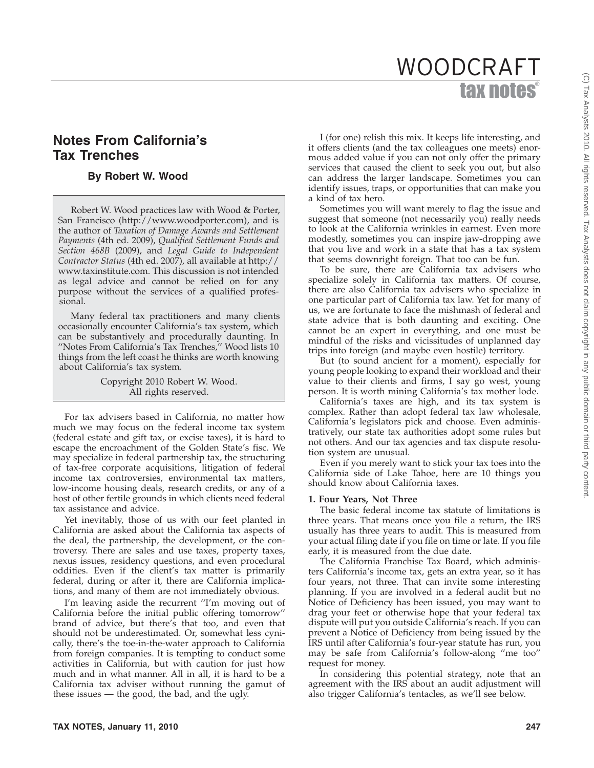# tax notes® WOODCRAFT

# **Notes From California's Tax Trenches**

# **By Robert W. Wood**

Robert W. Wood practices law with Wood & Porter, San Francisco (http://www.woodporter.com), and is the author of *Taxation of Damage Awards and Settlement Payments* (4th ed. 2009), *Qualified Settlement Funds and Section 468B* (2009), and *Legal Guide to Independent Contractor Status* (4th ed. 2007), all available at http:// www.taxinstitute.com. This discussion is not intended as legal advice and cannot be relied on for any purpose without the services of a qualified professional.

Many federal tax practitioners and many clients occasionally encounter California's tax system, which can be substantively and procedurally daunting. In ''Notes From California's Tax Trenches,'' Wood lists 10 things from the left coast he thinks are worth knowing about California's tax system.

> Copyright 2010 Robert W. Wood. All rights reserved.

For tax advisers based in California, no matter how much we may focus on the federal income tax system (federal estate and gift tax, or excise taxes), it is hard to escape the encroachment of the Golden State's fisc. We may specialize in federal partnership tax, the structuring of tax-free corporate acquisitions, litigation of federal income tax controversies, environmental tax matters, low-income housing deals, research credits, or any of a host of other fertile grounds in which clients need federal tax assistance and advice.

Yet inevitably, those of us with our feet planted in California are asked about the California tax aspects of the deal, the partnership, the development, or the controversy. There are sales and use taxes, property taxes, nexus issues, residency questions, and even procedural oddities. Even if the client's tax matter is primarily federal, during or after it, there are California implications, and many of them are not immediately obvious.

I'm leaving aside the recurrent "I'm moving out of California before the initial public offering tomorrow'' brand of advice, but there's that too, and even that should not be underestimated. Or, somewhat less cynically, there's the toe-in-the-water approach to California from foreign companies. It is tempting to conduct some activities in California, but with caution for just how much and in what manner. All in all, it is hard to be a California tax adviser without running the gamut of these issues — the good, the bad, and the ugly.

I (for one) relish this mix. It keeps life interesting, and it offers clients (and the tax colleagues one meets) enormous added value if you can not only offer the primary services that caused the client to seek you out, but also can address the larger landscape. Sometimes you can identify issues, traps, or opportunities that can make you a kind of tax hero.

Sometimes you will want merely to flag the issue and suggest that someone (not necessarily you) really needs to look at the California wrinkles in earnest. Even more modestly, sometimes you can inspire jaw-dropping awe that you live and work in a state that has a tax system that seems downright foreign. That too can be fun.

To be sure, there are California tax advisers who specialize solely in California tax matters. Of course, there are also California tax advisers who specialize in one particular part of California tax law. Yet for many of us, we are fortunate to face the mishmash of federal and state advice that is both daunting and exciting. One cannot be an expert in everything, and one must be mindful of the risks and vicissitudes of unplanned day trips into foreign (and maybe even hostile) territory.

But (to sound ancient for a moment), especially for young people looking to expand their workload and their value to their clients and firms, I say go west, young person. It is worth mining California's tax mother lode.

California's taxes are high, and its tax system is complex. Rather than adopt federal tax law wholesale, California's legislators pick and choose. Even administratively, our state tax authorities adopt some rules but not others. And our tax agencies and tax dispute resolution system are unusual.

Even if you merely want to stick your tax toes into the California side of Lake Tahoe, here are 10 things you should know about California taxes.

#### **1. Four Years, Not Three**

The basic federal income tax statute of limitations is three years. That means once you file a return, the IRS usually has three years to audit. This is measured from your actual filing date if you file on time or late. If you file early, it is measured from the due date.

The California Franchise Tax Board, which administers California's income tax, gets an extra year, so it has four years, not three. That can invite some interesting planning. If you are involved in a federal audit but no Notice of Deficiency has been issued, you may want to drag your feet or otherwise hope that your federal tax dispute will put you outside California's reach. If you can prevent a Notice of Deficiency from being issued by the IRS until after California's four-year statute has run, you may be safe from California's follow-along ''me too'' request for money.

In considering this potential strategy, note that an agreement with the IRS about an audit adjustment will also trigger California's tentacles, as we'll see below.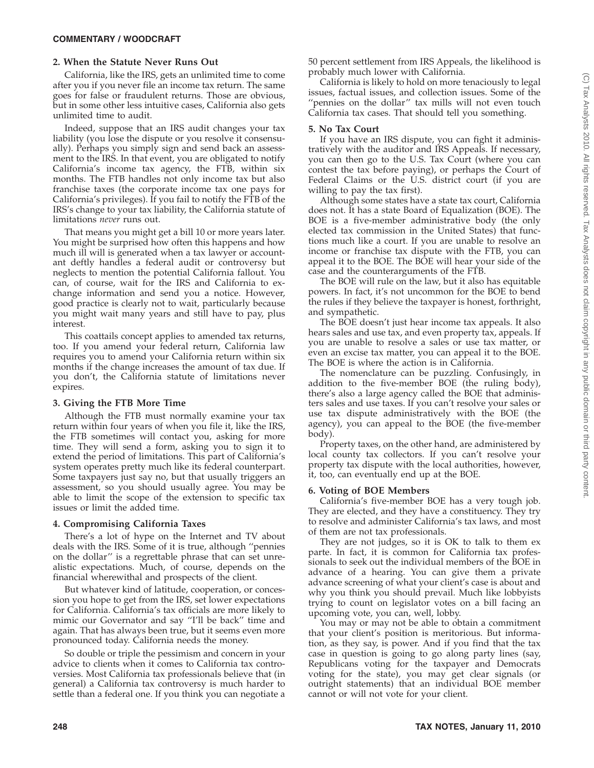# **2. When the Statute Never Runs Out**

California, like the IRS, gets an unlimited time to come after you if you never file an income tax return. The same goes for false or fraudulent returns. Those are obvious, but in some other less intuitive cases, California also gets unlimited time to audit.

Indeed, suppose that an IRS audit changes your tax liability (you lose the dispute or you resolve it consensually). Perhaps you simply sign and send back an assessment to the IRS. In that event, you are obligated to notify California's income tax agency, the FTB, within six months. The FTB handles not only income tax but also franchise taxes (the corporate income tax one pays for California's privileges). If you fail to notify the FTB of the IRS's change to your tax liability, the California statute of limitations *never* runs out.

That means you might get a bill 10 or more years later. You might be surprised how often this happens and how much ill will is generated when a tax lawyer or accountant deftly handles a federal audit or controversy but neglects to mention the potential California fallout. You can, of course, wait for the IRS and California to exchange information and send you a notice. However, good practice is clearly not to wait, particularly because you might wait many years and still have to pay, plus interest.

This coattails concept applies to amended tax returns, too. If you amend your federal return, California law requires you to amend your California return within six months if the change increases the amount of tax due. If you don't, the California statute of limitations never expires.

# **3. Giving the FTB More Time**

Although the FTB must normally examine your tax return within four years of when you file it, like the IRS, the FTB sometimes will contact you, asking for more time. They will send a form, asking you to sign it to extend the period of limitations. This part of California's system operates pretty much like its federal counterpart. Some taxpayers just say no, but that usually triggers an assessment, so you should usually agree. You may be able to limit the scope of the extension to specific tax issues or limit the added time.

# **4. Compromising California Taxes**

There's a lot of hype on the Internet and TV about deals with the IRS. Some of it is true, although ''pennies on the dollar'' is a regrettable phrase that can set unrealistic expectations. Much, of course, depends on the financial wherewithal and prospects of the client.

But whatever kind of latitude, cooperation, or concession you hope to get from the IRS, set lower expectations for California. California's tax officials are more likely to mimic our Governator and say ''I'll be back'' time and again. That has always been true, but it seems even more pronounced today. California needs the money.

So double or triple the pessimism and concern in your advice to clients when it comes to California tax controversies. Most California tax professionals believe that (in general) a California tax controversy is much harder to settle than a federal one. If you think you can negotiate a

50 percent settlement from IRS Appeals, the likelihood is probably much lower with California.

California is likely to hold on more tenaciously to legal issues, factual issues, and collection issues. Some of the "pennies on the dollar" tax mills will not even touch California tax cases. That should tell you something.

### **5. No Tax Court**

If you have an IRS dispute, you can fight it administratively with the auditor and IRS Appeals. If necessary, you can then go to the U.S. Tax Court (where you can contest the tax before paying), or perhaps the Court of Federal Claims or the U.S. district court (if you are willing to pay the tax first).

Although some states have a state tax court, California does not. It has a state Board of Equalization (BOE). The BOE is a five-member administrative body (the only elected tax commission in the United States) that functions much like a court. If you are unable to resolve an income or franchise tax dispute with the FTB, you can appeal it to the BOE. The BOE will hear your side of the case and the counterarguments of the FTB.

The BOE will rule on the law, but it also has equitable powers. In fact, it's not uncommon for the BOE to bend the rules if they believe the taxpayer is honest, forthright, and sympathetic.

The BOE doesn't just hear income tax appeals. It also hears sales and use tax, and even property tax, appeals. If you are unable to resolve a sales or use tax matter, or even an excise tax matter, you can appeal it to the BOE. The BOE is where the action is in California.

The nomenclature can be puzzling. Confusingly, in addition to the five-member BOE (the ruling body), there's also a large agency called the BOE that administers sales and use taxes. If you can't resolve your sales or use tax dispute administratively with the BOE (the agency), you can appeal to the BOE (the five-member body).

Property taxes, on the other hand, are administered by local county tax collectors. If you can't resolve your property tax dispute with the local authorities, however, it, too, can eventually end up at the BOE.

# **6. Voting of BOE Members**

California's five-member BOE has a very tough job. They are elected, and they have a constituency. They try to resolve and administer California's tax laws, and most of them are not tax professionals.

They are not judges, so it is OK to talk to them ex parte. In fact, it is common for California tax professionals to seek out the individual members of the BOE in advance of a hearing. You can give them a private advance screening of what your client's case is about and why you think you should prevail. Much like lobbyists trying to count on legislator votes on a bill facing an upcoming vote, you can, well, lobby.

You may or may not be able to obtain a commitment that your client's position is meritorious. But information, as they say, is power. And if you find that the tax case in question is going to go along party lines (say, Republicans voting for the taxpayer and Democrats voting for the state), you may get clear signals (or outright statements) that an individual BOE member cannot or will not vote for your client.